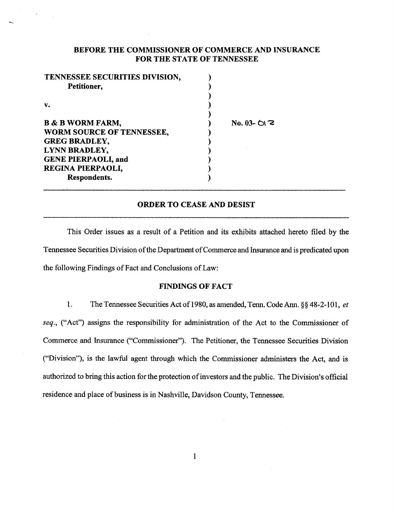# BEFORE THE COMMISSIONER OF COMMERCE AND INSURANCE FOR THE STATE OF TENNESSEE

 $O(2)$ 

| TENNESSEE SECURITIES DIVISION, |         |
|--------------------------------|---------|
| Petitioner,                    |         |
|                                |         |
| v.                             |         |
| <b>B &amp; B WORM FARM,</b>    | No. 03- |
| WORM SOURCE OF TENNESSEE,      |         |
| <b>GREG BRADLEY,</b>           |         |
| LYNN BRADLEY,                  |         |
| <b>GENE PIERPAOLI, and</b>     |         |
| REGINA PIERPAOLI,              |         |
| Respondents.                   |         |

# ORDER TO CEASE AND DESIST

This Order issues as a result of a Petition and its exhibits attached hereto filed by the Tennessee Securities Division of the Department of Commerce and Insurance and is predicated upon the following Findings of Fact and Conclusions of Law:

### FINDINGS OF FACT

1. The Tennessee Securities Actof1980, as amended, Tenn. Code Ann.§§ 48-2-101, *et seq.,* ("Act") assigns the responsibility for administration of the Act to the Commissioner of Commerce and Insurance ("Commissioner"). The Petitioner, the Tennessee Securities Division ("Division"), is the lawful agent through which the Commissioner administers the Act, and is authorized to bring this action for the protection of investors and the public. The Division's official residence and place of business is in Nashville, Davidson County, Tennessee.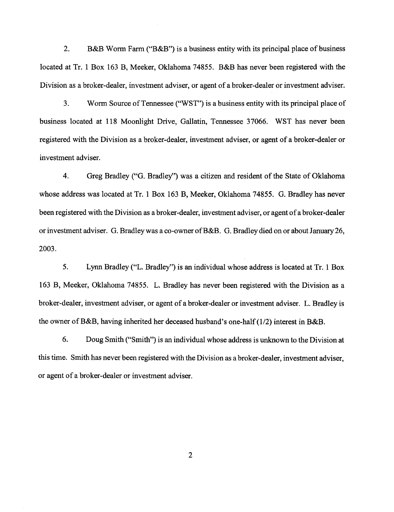2. B&B Worm Farm ("B&B") is a business entity with its principal place of business located at Tr. 1 Box 163 B, Meeker, Oklahoma 74855. B&B has never been registered with the Division as a broker-dealer, investment adviser, or agent of a broker-dealer or investment adviser.

3. Worm Source of Tennessee ("WST") is a business entity with its principal place of business located at 118 Moonlight Drive, Gallatin, Tennessee 37066. WST has never been registered with the Division as a broker-dealer, investment adviser, or agent of a broker-dealer or investment adviser.

4. Greg Bradley ("G. Bradley") was a citizen and resident of the State of Oklahoma whose address was located at Tr. 1 Box 163 B, Meeker, Oklahoma 74855. G. Bradley has never been registered with the Division as a broker-dealer, investment adviser, or agent of a broker-dealer or investment adviser. G. Bradley was a co-owner ofB&B. G. Bradley died on or about January 26, 2003.

5. Lynn Bradley ("L. Bradley") is an individual whose address is located at Tr. 1 Box 163 B, Meeker, Oklahoma 74855. L. Bradley has never been registered with the Division as a broker-dealer, investment adviser, or agent of a broker-dealer or investment adviser. L. Bradley is the owner of B&B, having inherited her deceased husband's one-half  $(1/2)$  interest in B&B.

6. Doug Smith ("Smith") is an individual whose address is unknown to the Division at this time. Smith has never been registered with the Division as a broker-dealer, investment adviser, or agent of a broker-dealer or investment adviser.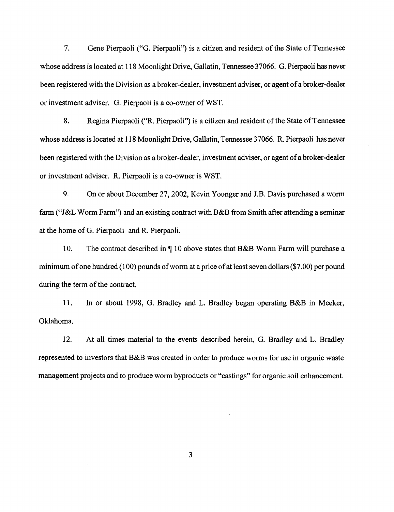7. Gene Pierpaoli ("G. Pierpaoli") is a citizen and resident of the State of Tennessee whose address is located at 118 Moonlight Drive, Gallatin, Tennessee 37066. G. Pierpaoli has never been registered with the Division as a broker-dealer, investment adviser, or agent of a broker-dealer or investment adviser. G. Pierpaoli is a co-owner ofWST.

8. Regina Pierpaoli ("R. Pierpaoli") is a citizen and resident of the State of Tennessee whose address is located at 118 Moonlight Drive, Gallatin, Tennessee 37066. R. Pierpaoli has never been registered with the Division as a broker-dealer, investment adviser, or agent of a broker-dealer or investment adviser. R. Pierpaoli is a co-owner is WST.

9. On or about December 27,2002, Kevin Younger and J.B. Davis purchased a worm farm ("J&L Worm Farm") and an existing contract with B&B from Smith after attending a seminar at the home of G. Pierpaoli and R. Pierpaoli.

10. The contract described in  $\P$  10 above states that B&B Worm Farm will purchase a minimum of one hundred (100) pounds of worm at a price of at least seven dollars (\$7.00) per pound during the term of the contract.

11. In or about 1998, G. Bradley and L. Bradley began operating B&B in Meeker, Oklahoma.

12. At all times material to the events described herein, G. Bradley and L. Bradley represented to investors that B&B was created in order to produce worms for use in organic waste management projects and to produce worm byproducts or "castings" for organic soil enhancement.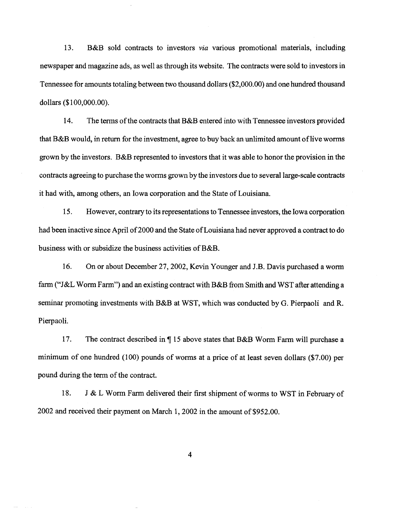13. B&B sold contracts to investors *via* various promotional materials, including newspaper and magazine ads, as well as through its website. The contracts were sold to investors in Tennessee for amounts totaling between two thousand dollars (\$2,000.00) and one hundred thousand dollars (\$1 00,000.00).

14. The terms of the contracts that B&B entered into with Tennessee investors provided that B&B would, in return for the investment, agree to buy back an unlimited amount of live worms grown by the investors. B&B represented to investors that it was able to honor the provision in the contracts agreeing to purchase the worms grown by the investors due to several large-scale contracts it had with, among others, an Iowa corporation and the State of Louisiana.

15. However, contrary to its representations to Tennessee investors, the Iowa corporation had been inactive since April of 2000 and the State of Louisiana had never approved a contract to do business with or subsidize the business activities of B&B.

16. On or about December 27,2002, Kevin Younger and J.B. Davis purchased a worm farm ("J&L Worm Farm") and an existing contract with B&B from Smith and WST after attending a seminar promoting investments with B&B at WST, which was conducted by G. Pierpaoli and R. Pierpaoli.

17. The contract described in  $\P$  15 above states that B&B Worm Farm will purchase a minimum of one hundred (100) pounds of worms at a price of at least seven dollars (\$7.00) per pound during the term of the contract.

18. J & L Worm Farm delivered their first shipment of worms to WST in February of 2002 and received their payment on March 1, 2002 in the amount of \$952.00.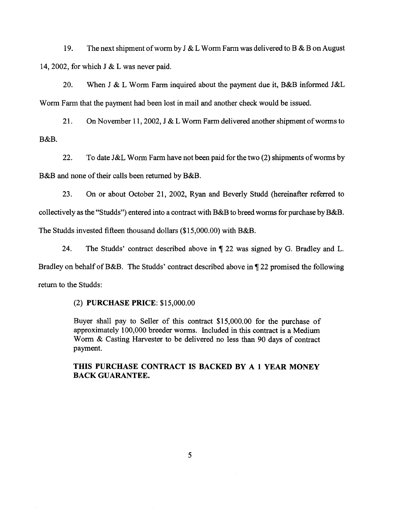19. The next shipment of worm by J & L Worm Farm was delivered to B & B on August 14, 2002, for which J & L was never paid.

20. When J & L Worm Farm inquired about the payment due it, B&B informed J&L Worm Farm that the payment had been lost in mail and another check would be issued.

21. On November 11, 2002, J & L Worm Farm delivered another shipment of worms to B&B.

22. To date J&L Worm Farm have not been paid for the two (2) shipments of worms by B&B and none of their calls been returned by B&B.

23. On or about October 21, 2002, Ryan and Beverly Studd (hereinafter referred to collectively as the "Studds") entered into a contract with B&B to breed worms for purchase by B&B. The Studds invested fifteen thousand dollars (\$15,000,00) with B&B.

24. The Studds' contract described above in  $\P$  22 was signed by G. Bradley and L. Bradley on behalf of B&B. The Studds' contract described above in  $\P$  22 promised the following return to the Studds:

## (2) PURCHASE PRICE: \$15,000.00

Buyer shall pay to Seller of this contract \$15,000.00 for the purchase of approximately 100,000 breeder worms. Included in this contract is a Medium Worm & Casting Harvester to be delivered no less than 90 days of contract payment.

# THIS PURCHASE CONTRACT IS BACKED BY A 1 YEAR MONEY BACK GUARANTEE.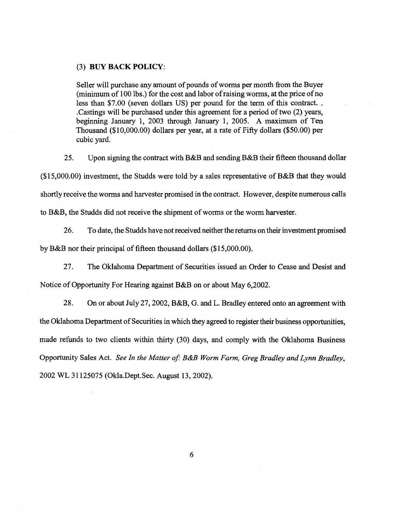## (3) BUY BACK POLICY:

Seller will purchase any amount of pounds of worms per month from the Buyer (minimum of 100 lbs.) for the cost and labor of raising worms, at the price of no less than \$7.00 (seven dollars US) per pound for the term of this contract. . . Castings will be purchased under this agreement for a period of two (2) years, beginning January 1, 2003 through January 1, 2005. A maximum of Ten Thousand (\$1 0,000.00) dollars per year, at a rate of Fifty dollars (\$50.00) per cubic yard.

25. Upon signing the contract with B&B and sending B&B their fifteen thousand dollar

(\$15,000.00) investment, the Studds were told by a sales representative of B&B that they would

shortly receive the worms and harvester promised in the contract. However, despite numerous calls

to B&B, the Studds did not receive the shipment of worms or the worm harvester.

26. To date, the Studds have not received neither the returns on their investment promised

by B&B nor their principal of fifteen thousand dollars (\$15,000.00).

27. The Oklahoma Department of Securities issued an Order to Cease and Desist and Notice of Opportunity For Hearing against B&B on or about May 6,2002.

28. On or about July 27,2002, B&B, G. and L. Bradley entered onto an agreement with the Oklahoma Department of Securities in which they agreed to register their business opportunities, made refunds to two clients within thirty (30) days, and comply with the Oklahoma Business Opportunity Sales Act. *See In the Matter of: B&B Worm Farm, Greg Bradley and Lynn Bradley,*  2002 WL 31125075 (Okla.Dept.Sec. August 13, 2002).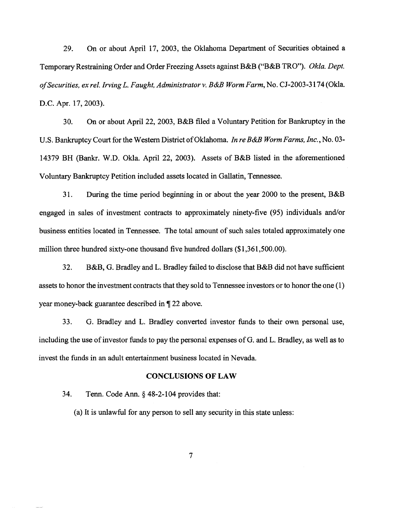29. On or about April 17, 2003, the Oklahoma Department of Securities obtained a Temporary Restraining Order and Order Freezing Assets against B&B ("B&B TRO"). *Okla. Dept. of Securities, ex rei. Irving* L. *Faught, Administrator v. B&B Worm Farm,* No. CJ-2003-3174 (Okla. D.C. Apr. 17, 2003).

30. On or about April22, 2003, B&B filed a Voluntary Petition for Bankruptcy in the U.S. Bankruptcy Court for the Western District of Oklahoma. *In re B&B Worm Farms, Inc.,* No. 03- 14379 BH (Bankr. W.D. Okla. April 22, 2003). Assets of B&B listed in the aforementioned Voluntary Bankruptcy Petition included assets located in Gallatin, Tennessee.

31. During the time period beginning in or about the year 2000 to the present, B&B engaged in sales of investment contracts to approximately ninety-five (95) individuals and/or business entities located in Tennessee. The total amount of such sales totaled approximately one million three hundred sixty-one thousand five hundred dollars (\$1,361,500.00).

32. B&B, G. Bradley and L. Bradley failed to disclose that B&B did not have sufficient assets to honor the investment contracts that they sold to Tennessee investors or to honor the one (1) year money-back guarantee described in  $\P$  22 above.

33. G. Bradley and L. Bradley converted investor funds to their own personal use, including the use of investor funds to pay the personal expenses of G. and L. Bradley, as well as to invest the funds in an adult entertainment business located in Nevada.

#### CONCLUSIONS OF LAW

34. Tenn. Code Ann. § 48-2-104 provides that:

(a) It is unlawful for any person to sell any security in this state unless: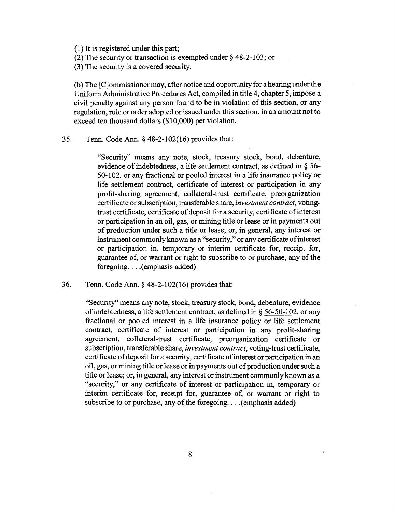( 1) It is registered under this part;

(2) The security or transaction is exempted under§ 48-2-103; or

(3) The security is a covered security.

(b) The [C]ommissioner may, after notice and opportunity for a hearing under the Uniform Administrative Procedures Act, compiled in title 4, chapter 5, impose a civil penalty against any person found to be in violation of this section, or any regulation, rule or order adopted or issued under this section, in an amount not to exceed ten thousand dollars (\$10,000) per violation.

### 35. Tenn. Code Ann. § 48-2-102(16) provides that:

"Security" means any note, stock, treasury stock, bond, debenture, evidence of indebtedness, a life settlement contract, as defined in § 56- 50-102, or any fractional or pooled interest in a life insurance policy or life settlement contract, certificate of interest or participation in any profit-sharing agreement, collateral-trust certificate, preorganization certificate or subscription, transferable share, *investment contract,* votingtrust certificate, certificate of deposit for a security, certificate of interest or participation in an oil, gas, or mining title or lease or in payments out of production under such a title or lease; or, in general, any interest or instrument commonly known as a "security," or any certificate of interest or participation in, temporary or interim certificate for, receipt for, guarantee of, or warrant or right to subscribe to or purchase, any of the foregoing.... (emphasis added)

36. Tenn. Code Ann.§ 48-2-102(16) provides that:

"Security" means any note, stock, treasury stock, bond, debenture, evidence of indebtedness, a life settlement contract, as defined in § 56-50-1 02, or any fractional or pooled interest in a life insurance policy or life settlement contract, certificate of interest or participation in any profit-sharing agreement, collateral-trust certificate, preorganization certificate or subscription, transferable share, *investment contract,* voting-trust certificate, certificate of deposit for a security, certificate of interest or participation in an oil, gas, or mining title or lease or in payments out of production under such a title or lease; or, in general, any interest or instrument commonly known as a "security," or any certificate of interest or participation in, temporary or interim certificate for, receipt for, guarantee of, or warrant or right to subscribe to or purchase, any of the foregoing. . . . (emphasis added)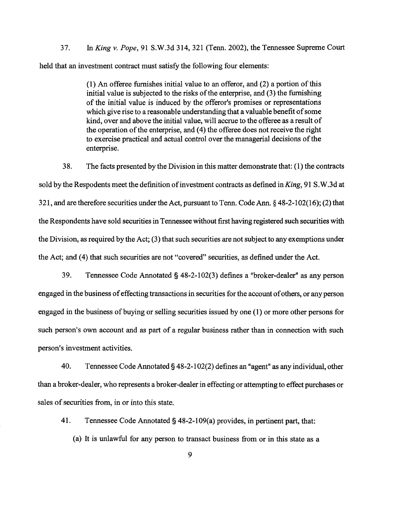37. In *King* v. *Pope,* 91 S.W.3d 314, 321 (Tenn. 2002), the Tennessee Supreme Court held that an investment contract must satisfy the following four elements:

> (1) An offeree furnishes initial value to an offeror, and (2) a portion of this initial value is subjected to the risks of the enterprise, and (3) the furnishing of the initial value is induced by the pfferor's promises or representations which give rise to a reasonable understanding that a valuable benefit of some kind, over and above the initial value, will accrue to the offeree as a result of the operation of the enterprise, and (4) the offeree does not receive the right to exercise practical and actual control over the managerial decisions of the enterprise.

38. The facts presented by the Division in this matter demonstrate that: (1) the contracts sold by the Respodents meet the definition of investment contracts as defined *inKing,* 91 S.W.3d at 321, and are therefore securities under the Act, pursuant to Tenn. Code Ann.§ 48-2-102(16); (2) that the Respondents have sold securities in Tennessee without first having registered such securities with the Division, as required by the Act; (3) that such securities are not subject to any exemptions under the Act; and (4) that such securities are not "covered" securities, as defined under the Act.

39. Tennessee Code Annotated§ 48-2-102(3) defines a "broker-dealer" as any person engaged in the business of effecting transactions in securities for the account of others, or any person engaged in the business of buying or selling securities issued by one (1) or more other persons for such person's own account and as part of a regular business rather than in connection with such person's investment activities.

40. Tennessee Code Annotated§ 48-2-1 02(2) defines an "agent" as any individual, other than a broker-dealer, who represents a broker-dealer in effecting or attempting to effect purchases or sales of securities from, in or into this state.

41. Tennessee Code Annotated § 48-2-109(a) provides, in pertinent part, that:

(a) It is unlawful for any person to transact business from or in this state as a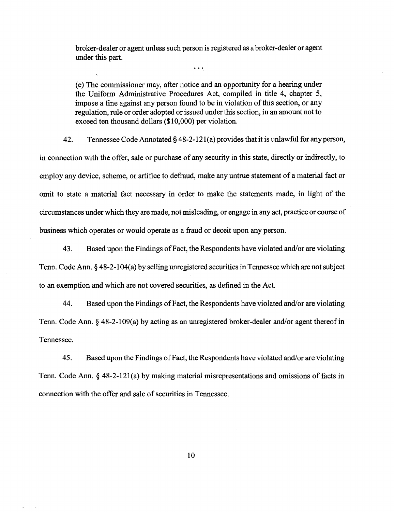broker-dealer or agent unless such person is registered as a broker-dealer or agent under this part.

 $\ddot{\bullet}$   $\ddot{\bullet}$   $\ddot{\bullet}$ 

(e) The commissioner may, after notice and an opportunity for a hearing under the Uniform Administrative Procedures Act, compiled in title 4, chapter 5, impose a fine against any person found to be in violation of this section, or any regulation, rule or order adopted or issued under this section, in an amount not to exceed ten thousand dollars (\$10,000) per violation.

42. Tennessee Code Annotated § 48-2-121(a) provides that it is unlawful for any person, in connection with the offer, sale or purchase of any security in this state, directly or indirectly, to employ any device, scheme, or artifice to defraud, make any untrue statement of a material fact or omit to state a material fact necessary in order to make the statements made, in light of the circumstances under which they are made, not misleading, or engage in any act, practice or course of business which operates or would operate as a fraud or deceit upon any person.

43. Based upon the Findings of Fact, the Respondents have violated and/or are violating Tenn. Code Ann. § 48-2-1 04(a) by selling unregistered securities in Tennessee which are not subject to an exemption and which are not covered securities, as defined in the Act.

44. Based upon the Findings of Fact, the Respondents have violated and/or are violating Tenn. Code Ann. § 48-2-109(a) by acting as an unregistered broker-dealer and/or agent thereof in Tennessee.

45. Based upon the Findings of Fact, the Respondents have violated and/or are violating Tenn. Code Ann.§ 48-2-121(a) by making material misrepresentations and omissions of facts in connection with the offer and sale of securities in Tennessee.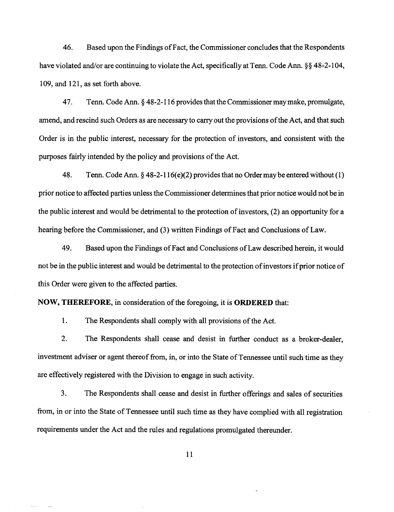46. Based upon the Findings of Fact, the Commissioner concludes that the Respondents have violated and/or are continuing to violate the Act, specifically at Tenn. Code Ann. §§ 48-2-104, 109, and 121, as set forth above.

4 7. Tenn. Code Ann. § 48-2-116 provides that the Commissioner may make, promulgate, amend, and rescind such Orders as are necessary to carry out the provisions of the Act, and that such Order is in the public interest, necessary for the protection of investors, and consistent with the purposes fairly intended by the policy and provisions of the Act.

48. Tenn. Code Ann.  $\S 48-2-116(e)(2)$  provides that no Order may be entered without (1) prior notice to affected parties unless the Commissioner determines that prior notice would not be in the public interest and would be detrimental to the protection of investors, (2) an opportunity for a hearing before the Commissioner, and (3) written Findings of Fact and Conclusions of Law.

49. Based upon the Findings of Fact and Conclusions of Law described herein, it would not be in the public interest and would be detrimental to the protection of investors if prior notice of this Order were given to the affected parties.

**NOW, THEREFORE,** in consideration of the foregoing, it is **ORDERED** that:

1. The Respondents shall comply with all provisions of the Act.

2. The Respondents shall cease and desist in further conduct as a broker-dealer, investment adviser or agent thereof from, in, or into the State of Tennessee until such time as they are effectively registered with the Division to engage in such activity.

3. The Respondents shall cease and desist in further offerings and sales of securities from, in or into the State of Tennessee until such time as they have complied with all registration requirements under the Act and the rules and regulations promulgated thereunder.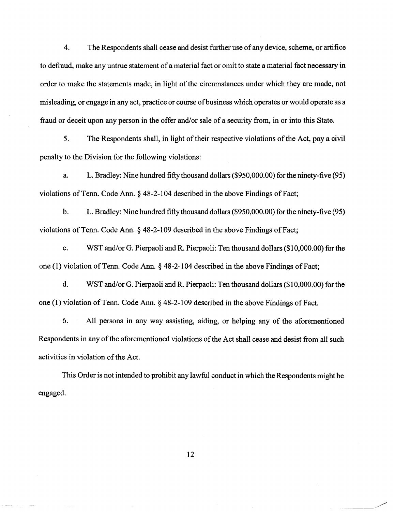4. The Respondents shall cease and desist further use of any device, scheme, or artifice to defraud, make any untrue statement of a material fact or omit to state a material fact necessary in order to make the statements made, in light of the circumstances under which they are made, not misleading, or engage in any act, practice or course of business which operates or would operate as a fraud or deceit upon any person in the offer and/or sale of a security from, in or into this State.

5. The Respondents shall, in light of their respective violations of the Act, pay a civil penalty to the Division for the following violations:

a. L. Bradley: Nine hundred fifty thousand dollars (\$950,000.00) for the ninety-five (95) violations of Tenn. Code Ann.  $\S$  48-2-104 described in the above Findings of Fact;

b. L. Bradley: Nine hundred fifty thousand dollars (\$950,000.00) for the ninety-five (95) violations of Tenn. Code Ann. § 48-2-109 described in the above Findings of Fact;

c. WST and/or G. Pierpaoli and R. Pierpaoli: Ten thousand dollars (\$1 0,000.00) for the one (1) violation of Tenn. Code Ann. § 48-2-104 described in the above Findings of Fact;

d. WST and/or G. Pierpaoli and R. Pierpaoli: Ten thousand dollars (\$1 0,000.00) for the one  $(1)$  violation of Tenn. Code Ann.  $\S$  48-2-109 described in the above Findings of Fact.

6. All persons in any way assisting, aiding, or helping any of the aforementioned Respondents in any of the aforementioned violations of the Act shall cease and desist from all such activities in violation of the Act.

This Order is not intended to prohibit any lawful conduct in which the Respondents might be engaged.